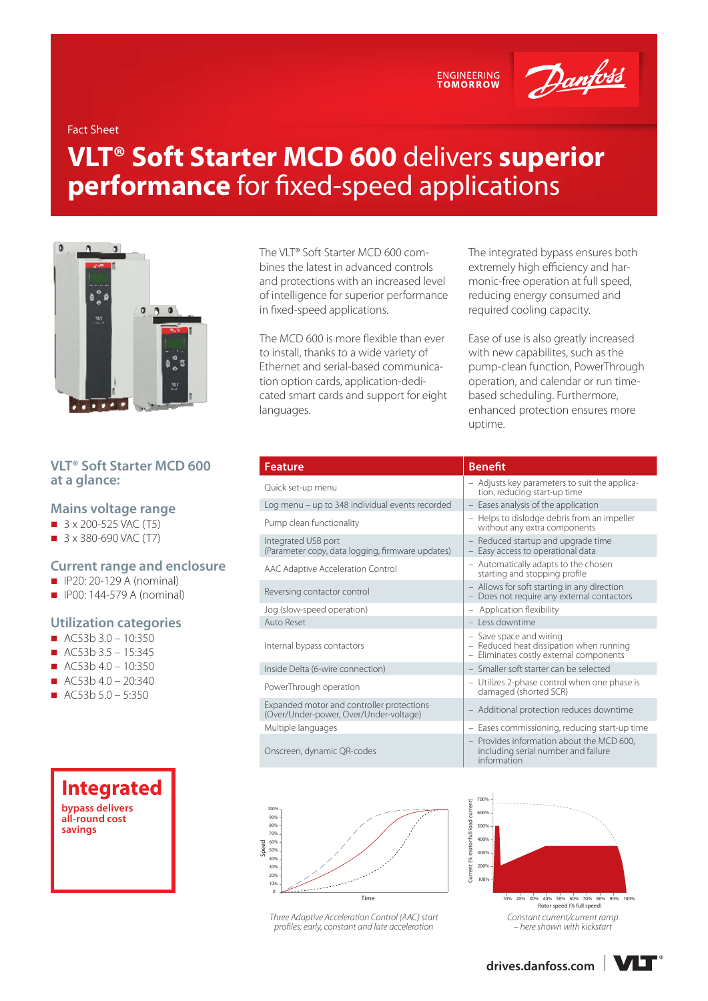ENGINEERING<br>TOMORROW



Fact Sheet

# **VLT® Soft Starter MCD 600** delivers **superior performance** for fixed-speed applications



## **VLT® Soft Starter MCD 600 at a glance:**

#### **Mains voltage range**

- $\blacksquare$  3 x 200-525 VAC (T5)
- $\Box$  3 x 380-690 VAC (T7)

### **Current range and enclosure**

- $\Box$  IP20: 20-129 A (nominal)
- $\Box$  IP00: 144-579 A (nominal)

#### **Utilization categories**

- $AC53b30 10:350$
- $AC53b35 15:345$
- $\blacksquare$  AC53b 4.0 10:350
- $\blacksquare$  AC53b 4.0 20:340
- AC53b  $5.0 5:350$



The VLT® Soft Starter MCD 600 combines the latest in advanced controls and protections with an increased level of intelligence for superior performance in fixed-speed applications.

The MCD 600 is more flexible than ever to install, thanks to a wide variety of Ethernet and serial-based communication option cards, application-dedicated smart cards and support for eight languages.

The integrated bypass ensures both extremely high efficiency and harmonic-free operation at full speed, reducing energy consumed and required cooling capacity.

Ease of use is also greatly increased with new capabilites, such as the pump-clean function, PowerThrough operation, and calendar or run timebased scheduling. Furthermore, enhanced protection ensures more uptime.

| <b>Feature</b>                                                                      | <b>Benefit</b>                                                                                                |
|-------------------------------------------------------------------------------------|---------------------------------------------------------------------------------------------------------------|
| Quick set-up menu                                                                   | - Adjusts key parameters to suit the applica-<br>tion, reducing start-up time                                 |
| Log menu – up to 348 individual events recorded                                     | - Eases analysis of the application                                                                           |
| Pump clean functionality                                                            | - Helps to dislodge debris from an impeller<br>without any extra components                                   |
| Integrated USB port<br>(Parameter copy, data logging, firmware updates)             | - Reduced startup and upgrade time<br>- Easy access to operational data                                       |
| AAC Adaptive Acceleration Control                                                   | - Automatically adapts to the chosen<br>starting and stopping profile                                         |
| Reversing contactor control                                                         | - Allows for soft starting in any direction<br>Does not require any external contactors                       |
| Jog (slow-speed operation)                                                          | - Application flexibility                                                                                     |
| Auto Reset                                                                          | - Less downtime                                                                                               |
| Internal bypass contactors                                                          | - Save space and wiring<br>- Reduced heat dissipation when running<br>- Eliminates costly external components |
| Inside Delta (6-wire connection)                                                    | - Smaller soft starter can be selected                                                                        |
| PowerThrough operation                                                              | - Utilizes 2-phase control when one phase is<br>damaged (shorted SCR)                                         |
| Expanded motor and controller protections<br>(Over/Under-power, Over/Under-voltage) | - Additional protection reduces downtime                                                                      |
| Multiple languages                                                                  | - Eases commissioning, reducing start-up tir-                                                                 |
| Onscreen, dynamic QR-codes                                                          | - Provides information about the MCD 600,<br>including serial number and failure<br>information               |
|                                                                                     | 700%<br>ent)                                                                                                  |



*Three Adaptive Acceleration Control (AAC) start profiles; early, constant and late acceleration*

| <b>Benefit</b>                                                                                                   |
|------------------------------------------------------------------------------------------------------------------|
| - Adjusts key parameters to suit the applica-<br>tion, reducing start-up time                                    |
| - Eases analysis of the application                                                                              |
| - Helps to dislodge debris from an impeller<br>without any extra components                                      |
| Reduced startup and upgrade time<br>$\qquad \qquad -$<br>- Easy access to operational data                       |
| - Automatically adapts to the chosen<br>starting and stopping profile                                            |
| - Allows for soft starting in any direction<br>- Does not require any external contactors                        |
| - Application flexibility                                                                                        |
| - Less downtime                                                                                                  |
| - Save space and wiring<br>Reduced heat dissipation when running<br>$=$<br>Eliminates costly external components |
| Smaller soft starter can be selected                                                                             |
|                                                                                                                  |

- Utilizes 2-phase control when one phase is damaged (shorted SCR)
- Additional protection reduces downtime
- Eases commissioning, reducing start-up time – Provides information about the MCD 600, including serial number and failure
- information



*Constant current/current ramp – here shown with kickstart*